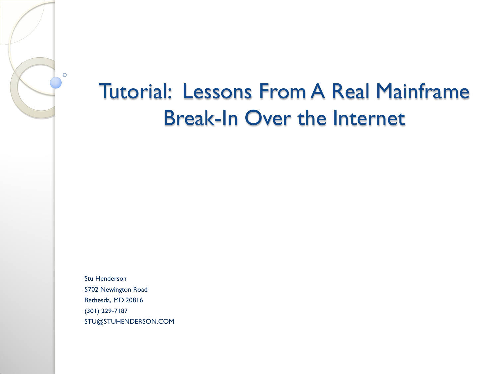## Tutorial: Lessons From A Real Mainframe Break-In Over the Internet

Stu Henderson 5702 Newington Road Bethesda, MD 20816 (301) 229-7187 STU@STUHENDERSON.COM

 $\circ$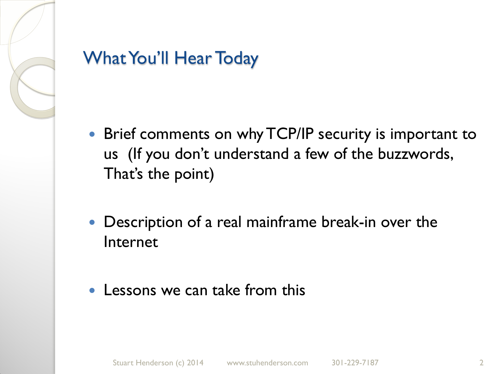

#### What You'll Hear Today

- Brief comments on why TCP/IP security is important to us (If you don't understand a few of the buzzwords, That's the point)
- Description of a real mainframe break-in over the Internet
- Lessons we can take from this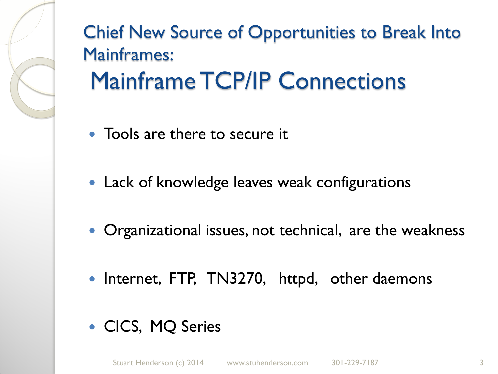Chief New Source of Opportunities to Break Into Mainframes: Mainframe TCP/IP Connections

- Tools are there to secure it
- Lack of knowledge leaves weak configurations
- Organizational issues, not technical, are the weakness
- Internet, FTP, TN3270, httpd, other daemons
- CICS, MQ Series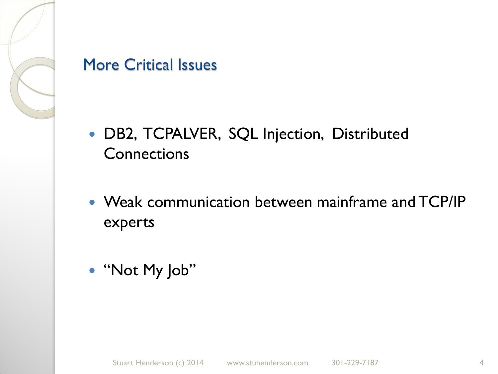

#### More Critical Issues

- DB2, TCPALVER, SQL Injection, Distributed **Connections**
- Weak communication between mainframe and TCP/IP experts
- "Not My Job"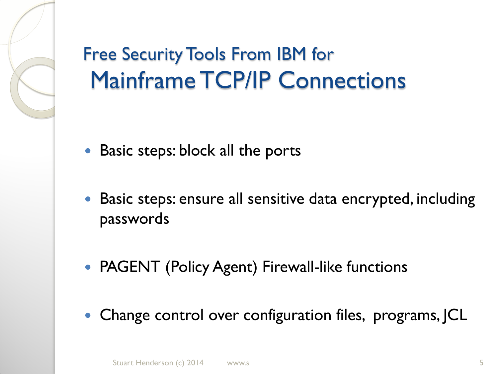# Free Security Tools From IBM for Mainframe TCP/IP Connections

- Basic steps: block all the ports
- Basic steps: ensure all sensitive data encrypted, including passwords
- PAGENT (Policy Agent) Firewall-like functions
- Change control over configuration files, programs, JCL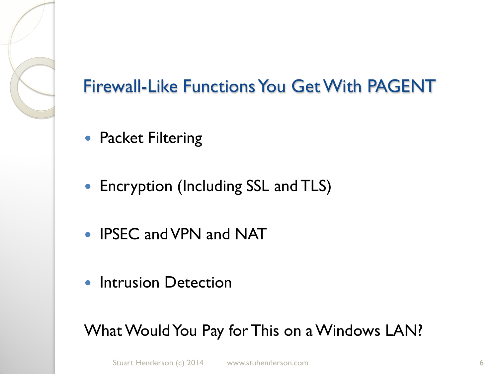

#### Firewall-Like Functions You Get With PAGENT

- Packet Filtering
- Encryption (Including SSL and TLS)
- IPSEC and VPN and NAT
- Intrusion Detection

What Would You Pay for This on a Windows LAN?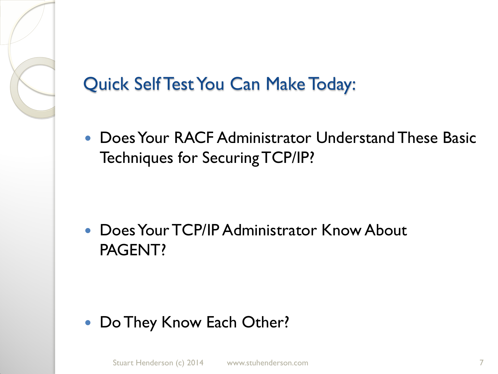

 Does Your RACF Administrator Understand These Basic Techniques for Securing TCP/IP?

 Does Your TCP/IP Administrator Know About PAGENT?

• Do They Know Each Other?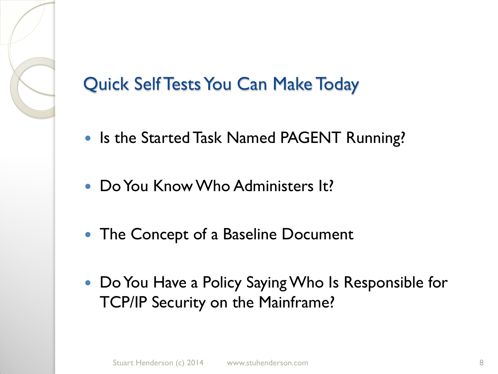#### Quick Self Tests You Can Make Today

- Is the Started Task Named PAGENT Running?
- Do You Know Who Administers It?
- The Concept of a Baseline Document
- Do You Have a Policy Saying Who Is Responsible for TCP/IP Security on the Mainframe?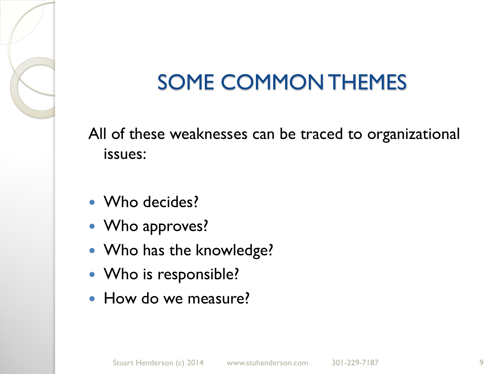# SOME COMMON THEMES

All of these weaknesses can be traced to organizational issues:

- Who decides?
- Who approves?
- Who has the knowledge?
- Who is responsible?
- How do we measure?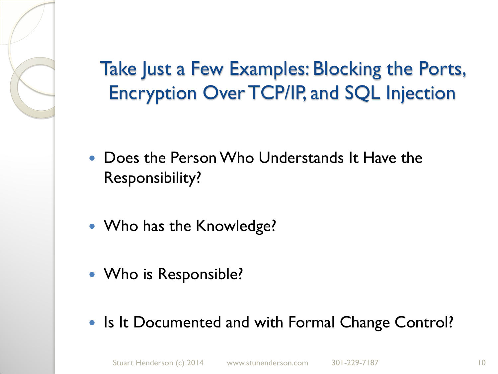Take Just a Few Examples: Blocking the Ports, Encryption Over TCP/IP, and SQL Injection

- Does the Person Who Understands It Have the Responsibility?
- Who has the Knowledge?
- Who is Responsible?
- Is It Documented and with Formal Change Control?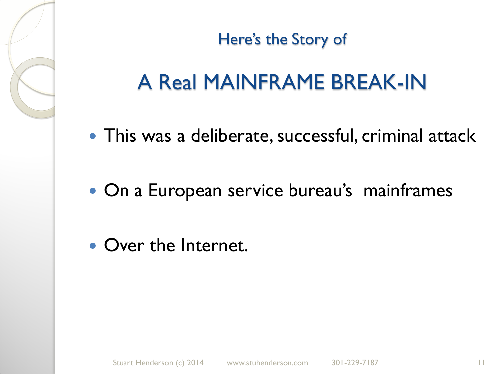Here's the Story of

# A Real MAINFRAME BREAK-IN

- This was a deliberate, successful, criminal attack
- On a European service bureau's mainframes
- Over the Internet.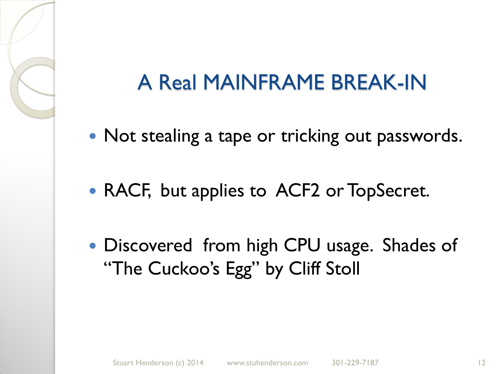- Not stealing a tape or tricking out passwords.
- RACF, but applies to ACF2 or TopSecret.
- Discovered from high CPU usage. Shades of "The Cuckoo's Egg" by Cliff Stoll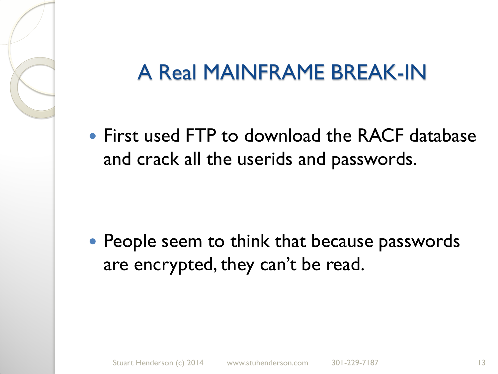• First used FTP to download the RACF database and crack all the userids and passwords.

• People seem to think that because passwords are encrypted, they can't be read.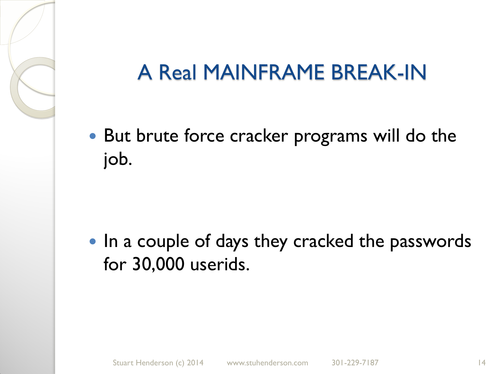• But brute force cracker programs will do the job.

• In a couple of days they cracked the passwords for 30,000 userids.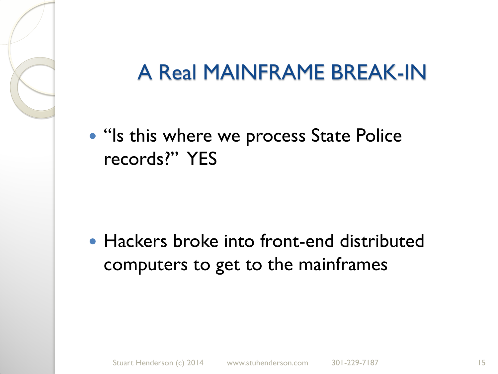• "Is this where we process State Police" records?" YES

• Hackers broke into front-end distributed computers to get to the mainframes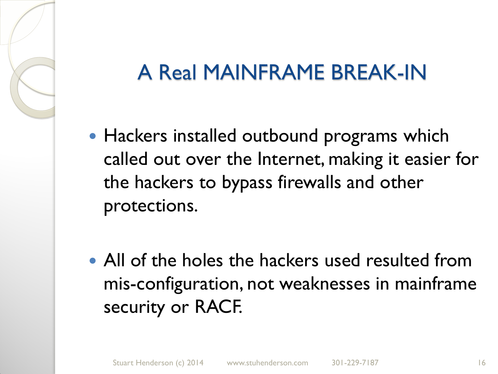- Hackers installed outbound programs which called out over the Internet, making it easier for the hackers to bypass firewalls and other protections.
- All of the holes the hackers used resulted from mis-configuration, not weaknesses in mainframe security or RACF.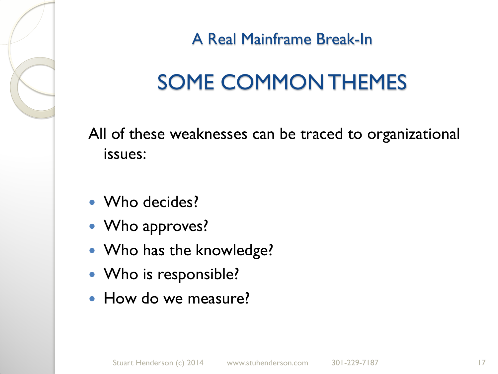A Real Mainframe Break-In

# SOME COMMON THEMES

All of these weaknesses can be traced to organizational issues:

- Who decides?
- Who approves?
- Who has the knowledge?
- Who is responsible?
- How do we measure?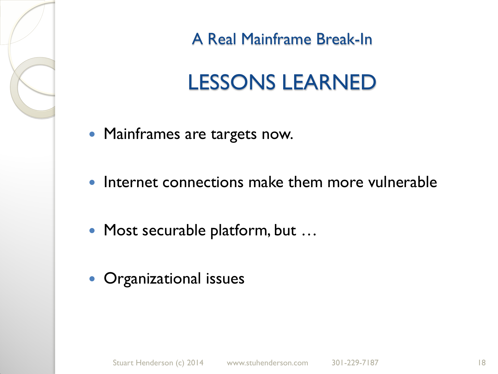A Real Mainframe Break-In

# LESSONS LEARNED

- Mainframes are targets now.
- Internet connections make them more vulnerable
- Most securable platform, but …
- **Organizational issues**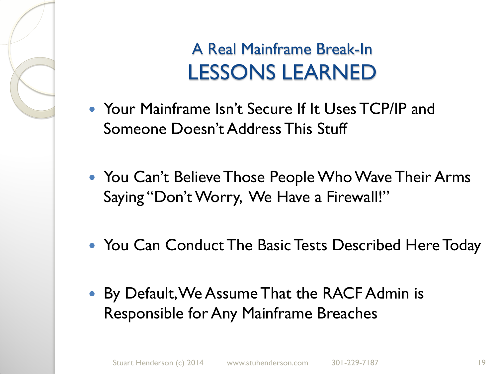### A Real Mainframe Break-In LESSONS LEARNED

- Your Mainframe Isn't Secure If It Uses TCP/IP and Someone Doesn't Address This Stuff
- You Can't Believe Those People Who Wave Their Arms Saying "Don't Worry, We Have a Firewall!"
- You Can Conduct The Basic Tests Described Here Today
- By Default, We Assume That the RACF Admin is Responsible for Any Mainframe Breaches